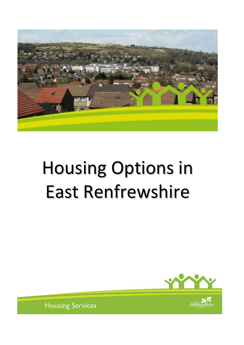

# Housing Options in East Renfrewshire





**Housing Services**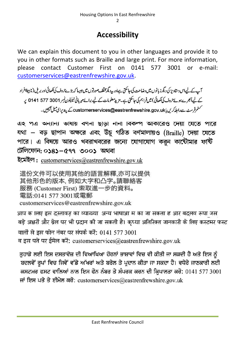## **Accessibility**

We can explain this document to you in other languages and provide it to you in other formats such as Braille and large print. For more information, please contact Customer First on 0141 577 3001 or e-mail: [customerservices@eastrenfrewshire.gov.uk.](mailto:customerservices@eastrenfrewshire.gov.uk)

آپ کے لیےاس دستاویز کی دیگرز بانوں میں دضاحت کی جاسکتی ہےاور پیردیگرمخلف صورتوں میں جیسا کہ بڑے حروف کی لکھائی اور بریل (نا بیناافراد کے لیے اُنجرےہوئے حروف کی لکھائی) میں فراہم کی جاسکتی ہے۔ مزید معلومات کے لیے برائے مہربانی ٹیلیفون نمبر 3001 577 5141 پ سٹمرفرسٹ سے رابطہ کریں یا customerservices@eastrenfrewshire.gov.ukے پیدیرای میل بھیجیں۔

এ২ পত্র অন্যান্য ভাষায় বণনা ছাড়া নানা বিকল্প আকারেও দেয়া যেতে পারে যথা – বড় ছাপান অক্ষরে এবং উঁচু গঠিত বর্ণমালায়ও (Braille) দেয়া যেতে পারে। এ বিষয়ে আরও খবরাখবরের জন্যে যোগাযোগ করুন কাউৌমার ফর্ষি টেলিফোন: ০১৪১–৫৭৭ ৩০০১ অথবা

ইমেইল: customerservices@eastrenfrewshire.gov.uk

這份文件可以使用其他的語言解釋,亦可以提供 其他形色的版本,例如大字和凸字。請聯絡客 服務 (Customer First) 索取進一步的資料。 電話:0141 577 3001或電郵 customerservices@eastrenfrewshire.gov.uk

आप क ालए इस दस्तावज़ का व्याख्या अन्य भाषाआ म का जा सकता ह आर बदलव रूपा जस बड़े अक्षरों और ब्रेल पर भी प्रदान की जा सकती है। कृप्या अतिरिक्त जानकारी के लिए कस्टमर फस्ट वालों से इस फोन नंबर पर संपर्क करें: 0141 577 3001 व इस पते पर ईमेल करें: customerservices@eastrenfrewshire.gov.uk

ਤੁਹਾਡੇ ਲਈ ਇਸ ਦਸਤਾਵੇਜ਼ ਦੀ ਵਿਆਖਿਆ ਹੋਰਨਾਂ ਭਾਸ਼ਾਵਾਂ ਵਿਚ ਵੀ ਕੀਤੀ ਜਾ ਸਕਦੀ ਹੈ ਅਤੇ ਇਸ ਨੂੰ ਬਦਲਵੇਂ ਰੂਪਾਂ ਵਿਚ ਜਿਵੇਂ ਵੱਡੇ ਅੱਖਰਾਂ ਅਤੇ ਬਰੇਲ ਤੇ ਪ੍ਰਦਾਨ ਕੀਤਾ ਜਾ ਸਕਦਾ ਹੈ। ਵਧੇਰੇ ਜਾਣਕਾਰੀ ਲਈ ਕਸਟਮਰ ਫਸਟ ਵਾਲਿਆਂ ਨਾਲ ਇਸ ਫੋਨ ਨੰਬਰ ਤੇ ਸੰਪਰਕ ਕਰਨ ਦੀ ਕਿਪਾਲਤਾ ਕਰੋ: 0141 577 3001 ਜਾਂ ਇਸ ਪਤੇ ਤੇ ਈਮੇਲ ਕਰੋ: customerservices@eastrenfrewshire.gov.uk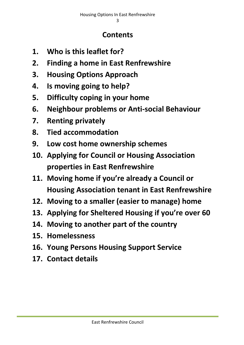## **Contents**

- **1. Who is this leaflet for?**
- **2. Finding a home in East Renfrewshire**
- **3. Housing Options Approach**
- **4. Is moving going to help?**
- **5. Difficulty coping in your home**
- **6. Neighbour problems or Anti-social Behaviour**
- **7. Renting privately**
- **8. Tied accommodation**
- **9. Low cost home ownership schemes**
- **10. Applying for Council or Housing Association properties in East Renfrewshire**
- **11. Moving home if you're already a Council or Housing Association tenant in East Renfrewshire**
- **12. Moving to a smaller (easier to manage) home**
- **13. Applying for Sheltered Housing if you're over 60**
- **14. Moving to another part of the country**
- **15. Homelessness**
- **16. Young Persons Housing Support Service**
- **17. Contact details**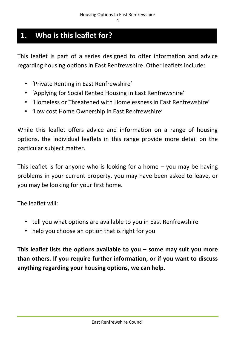## **1. Who is this leaflet for?**

This leaflet is part of a series designed to offer information and advice regarding housing options in East Renfrewshire. Other leaflets include:

- 'Private Renting in East Renfrewshire'
- 'Applying for Social Rented Housing in East Renfrewshire'
- 'Homeless or Threatened with Homelessness in East Renfrewshire'
- 'Low cost Home Ownership in East Renfrewshire'

While this leaflet offers advice and information on a range of housing options, the individual leaflets in this range provide more detail on the particular subject matter.

This leaflet is for anyone who is looking for a home – you may be having problems in your current property, you may have been asked to leave, or you may be looking for your first home.

The leaflet will:

- tell you what options are available to you in East Renfrewshire
- help you choose an option that is right for you

**This leaflet lists the options available to you – some may suit you more than others. If you require further information, or if you want to discuss anything regarding your housing options, we can help.**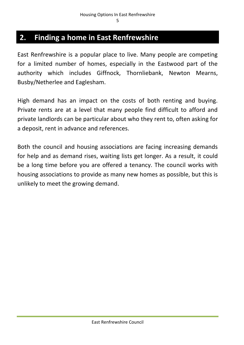## **2. Finding a home in East Renfrewshire**

East Renfrewshire is a popular place to live. Many people are competing for a limited number of homes, especially in the Eastwood part of the authority which includes Giffnock, Thornliebank, Newton Mearns, Busby/Netherlee and Eaglesham.

High demand has an impact on the costs of both renting and buying. Private rents are at a level that many people find difficult to afford and private landlords can be particular about who they rent to, often asking for a deposit, rent in advance and references.

Both the council and housing associations are facing increasing demands for help and as demand rises, waiting lists get longer. As a result, it could be a long time before you are offered a tenancy. The council works with housing associations to provide as many new homes as possible, but this is unlikely to meet the growing demand.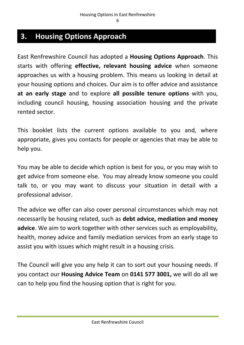## **3. Housing Options Approach**

East Renfrewshire Council has adopted a **Housing Options Approach**. This starts with offering **effective, relevant housing advice** when someone approaches us with a housing problem. This means us looking in detail at your housing options and choices. Our aim is to offer advice and assistance **at an early stage** and to explore **all possible tenure options** with you, including council housing, housing association housing and the private rented sector.

This booklet lists the current options available to you and, where appropriate, gives you contacts for people or agencies that may be able to help you.

You may be able to decide which option is best for you, or you may wish to get advice from someone else. You may already know someone you could talk to, or you may want to discuss your situation in detail with a professional advisor.

The advice we offer can also cover personal circumstances which may not necessarily be housing related, such as **debt advice, mediation and money advice**. We aim to work together with other services such as employability, health, money advice and family mediation services from an early stage to assist you with issues which might result in a housing crisis.

The Council will give you any help it can to sort out your housing needs. If you contact our **Housing Advice Team** on **0141 577 3001,** we will do all we can to help you find the housing option that is right for you.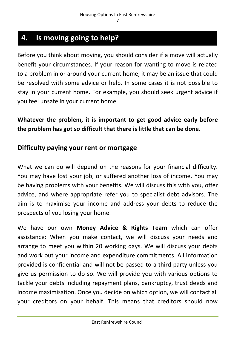## **4. Is moving going to help?**

Before you think about moving, you should consider if a move will actually benefit your circumstances. If your reason for wanting to move is related to a problem in or around your current home, it may be an issue that could be resolved with some advice or help. In some cases it is not possible to stay in your current home. For example, you should seek urgent advice if you feel unsafe in your current home.

**Whatever the problem, it is important to get good advice early before the problem has got so difficult that there is little that can be done.**

#### **Difficulty paying your rent or mortgage**

What we can do will depend on the reasons for your financial difficulty. You may have lost your job, or suffered another loss of income. You may be having problems with your benefits. We will discuss this with you, offer advice, and where appropriate refer you to specialist debt advisors. The aim is to maximise your income and address your debts to reduce the prospects of you losing your home.

We have our own **Money Advice & Rights Team** which can offer assistance: When you make contact, we will discuss your needs and arrange to meet you within 20 working days. We will discuss your debts and work out your income and expenditure commitments. All information provided is confidential and will not be passed to a third party unless you give us permission to do so. We will provide you with various options to tackle your debts including repayment plans, bankruptcy, trust deeds and income maximisation. Once you decide on which option, we will contact all your creditors on your behalf. This means that creditors should now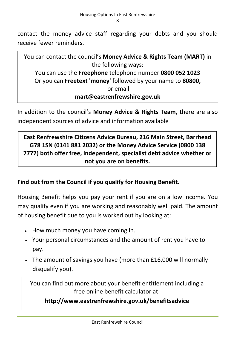contact the money advice staff regarding your debts and you should receive fewer reminders.

You can contact the council's **Money Advice & Rights Team (MART)** in the following ways: You can use the **Freephone** telephone number **0800 052 1023** Or you can **Freetext 'money'** followed by your name to **80800,** or email **mart@eastrenfrewshire.gov.uk**

In addition to the council's **Money Advice & Rights Team,** there are also independent sources of advice and information available

**East Renfrewshire Citizens Advice Bureau, 216 Main Street, Barrhead G78 1SN (0141 881 2032) or the Money Advice Service (0800 138 7777) both offer free, independent, specialist debt advice whether or not you are on benefits.**

#### **Find out from the Council if you qualify for Housing Benefit.**

Housing Benefit helps you pay your rent if you are on a low income. You may qualify even if you are working and reasonably well paid. The amount of housing benefit due to you is worked out by looking at:

- How much money you have coming in.
- Your personal circumstances and the amount of rent you have to pay.
- The amount of savings you have (more than £16,000 will normally disqualify you).

You can find out more about your benefit entitlement including a free online benefit calculator at:

**http://www.eastrenfrewshire.gov.uk/benefitsadvice**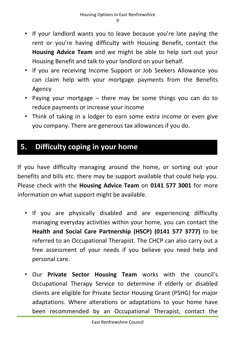- If your landlord wants you to leave because you're late paying the rent or you're having difficulty with Housing Benefit, contact the **Housing Advice Team** and we might be able to help sort out your Housing Benefit and talk to your landlord on your behalf.
- If you are receiving Income Support or Job Seekers Allowance you can claim help with your mortgage payments from the Benefits Agency
- Paying your mortgage there may be some things you can do to reduce payments or increase your income
- Think of taking in a lodger to earn some extra income or even give you company. There are generous tax allowances if you do.

## **5. Difficulty coping in your home**

If you have difficulty managing around the home, or sorting out your benefits and bills etc. there may be support available that could help you. Please check with the **Housing Advice Team** on **0141 577 3001** for more information on what support might be available.

- If you are physically disabled and are experiencing difficulty managing everyday activities within your home, you can contact the **Health and Social Care Partnership (HSCP) (0141 577 3777)** to be referred to an Occupational Therapist. The CHCP can also carry out a free assessment of your needs if you believe you need help and personal care.
- Our **Private Sector Housing Team** works with the council's Occupational Therapy Service to determine if elderly or disabled clients are eligible for Private Sector Housing Grant (PSHG) for major adaptations. Where alterations or adaptations to your home have been recommended by an Occupational Therapist, contact the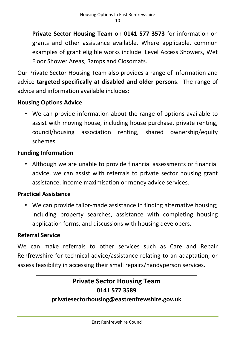**Private Sector Housing Team** on **0141 577 3573** for information on grants and other assistance available. Where applicable, common examples of grant eligible works include: Level Access Showers, Wet Floor Shower Areas, Ramps and Closomats.

Our Private Sector Housing Team also provides a range of information and advice **targeted specifically at disabled and older persons**. The range of advice and information available includes:

#### **Housing Options Advice**

• We can provide information about the range of options available to assist with moving house, including house purchase, private renting, council/housing association renting, shared ownership/equity schemes.

#### **Funding Information**

• Although we are unable to provide financial assessments or financial advice, we can assist with referrals to private sector housing grant assistance, income maximisation or money advice services.

#### **Practical Assistance**

• We can provide tailor-made assistance in finding alternative housing; including property searches, assistance with completing housing application forms, and discussions with housing developers.

#### **Referral Service**

We can make referrals to other services such as Care and Repair Renfrewshire for technical advice/assistance relating to an adaptation, or assess feasibility in accessing their small repairs/handyperson services.

## **Private Sector Housing Team 0141 577 3589**

#### **privatesectorhousing@eastrenfrewshire.gov.uk**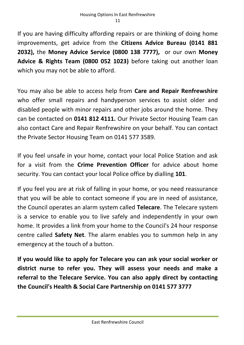If you are having difficulty affording repairs or are thinking of doing home improvements, get advice from the **Citizens Advice Bureau (0141 881 2032),** the **Money Advice Service (0800 138 7777),** or our own **Money Advice & Rights Team (0800 052 1023)** before taking out another loan which you may not be able to afford.

You may also be able to access help from **Care and Repair Renfrewshire** who offer small repairs and handyperson services to assist older and disabled people with minor repairs and other jobs around the home. They can be contacted on **0141 812 4111.** Our Private Sector Housing Team can also contact Care and Repair Renfrewshire on your behalf. You can contact the Private Sector Housing Team on 0141 577 3589.

If you feel unsafe in your home, contact your local Police Station and ask for a visit from the **Crime Prevention Officer** for advice about home security. You can contact your local Police office by dialling **101**.

If you feel you are at risk of falling in your home, or you need reassurance that you will be able to contact someone if you are in need of assistance, the Council operates an alarm system called **Telecare**. The Telecare system is a service to enable you to live safely and independently in your own home. It provides a link from your home to the Council's 24 hour response centre called **Safety Net**. The alarm enables you to summon help in any emergency at the touch of a button.

**If you would like to apply for Telecare you can ask your social worker or district nurse to refer you. They will assess your needs and make a referral to the Telecare Service. You can also apply direct by contacting the Council's Health & Social Care Partnership on 0141 577 3777**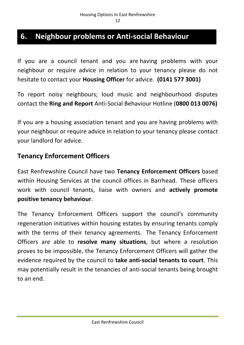## **6. Neighbour problems or Anti-social Behaviour**

If you are a council tenant and you are having problems with your neighbour or require advice in relation to your tenancy please do not hesitate to contact your **Housing Officer** for advice. **(0141 577 3001)**

To report noisy neighbours; loud music and neighbourhood disputes contact the **Ring and Report** Anti-Social Behaviour Hotline (**0800 013 0076)**

If you are a housing association tenant and you are having problems with your neighbour or require advice in relation to your tenancy please contact your landlord for advice.

#### **Tenancy Enforcement Officers**

East Renfrewshire Council have two **Tenancy Enforcement Officers** based within Housing Services at the council offices in Barrhead. These officers work with council tenants, liaise with owners and **actively promote positive tenancy behaviour**.

The Tenancy Enforcement Officers support the council's community regeneration initiatives within housing estates by ensuring tenants comply with the terms of their tenancy agreements. The Tenancy Enforcement Officers are able to **resolve many situations**, but where a resolution proves to be impossible, the Tenancy Enforcement Officers will gather the evidence required by the council to **take anti-social tenants to court**. This may potentially result in the tenancies of anti-social tenants being brought to an end.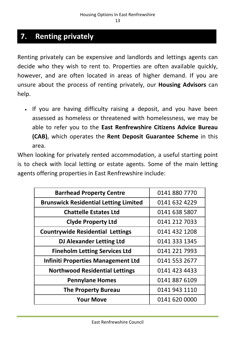## **7. Renting privately**

Renting privately can be expensive and landlords and lettings agents can decide who they wish to rent to. Properties are often available quickly, however, and are often located in areas of higher demand. If you are unsure about the process of renting privately, our **Housing Advisors** can help.

• If you are having difficulty raising a deposit, and you have been assessed as homeless or threatened with homelessness, we may be able to refer you to the **East Renfrewshire Citizens Advice Bureau (CAB)**, which operates the **Rent Deposit Guarantee Scheme** in this area.

When looking for privately rented accommodation, a useful starting point is to check with local letting or estate agents. Some of the main letting agents offering properties in East Renfrewshire include:

| <b>Barrhead Property Centre</b>              | 0141 880 7770 |
|----------------------------------------------|---------------|
| <b>Brunswick Residential Letting Limited</b> | 0141 632 4229 |
| <b>Chattelle Estates Ltd</b>                 | 0141 638 5807 |
| <b>Clyde Property Ltd</b>                    | 0141 212 7033 |
| <b>Countrywide Residential Lettings</b>      | 0141 432 1208 |
| <b>DJ Alexander Letting Ltd</b>              | 0141 333 1345 |
| <b>Fineholm Letting Services Ltd</b>         | 0141 221 7993 |
| <b>Infiniti Properties Management Ltd</b>    | 0141 553 2677 |
| <b>Northwood Residential Lettings</b>        | 0141 423 4433 |
| <b>Pennylane Homes</b>                       | 0141 887 6109 |
| <b>The Property Bureau</b>                   | 0141 943 1110 |
| <b>Your Move</b>                             | 0141 620 0000 |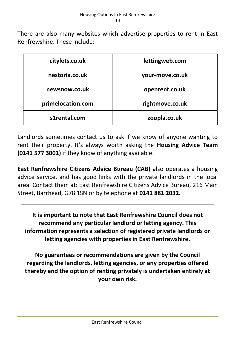There are also many websites which advertise properties to rent in East Renfrewshire. These include:

| citylets.co.uk    | lettingweb.com  |  |
|-------------------|-----------------|--|
| nestoria.co.uk    | your-move.co.uk |  |
| newsnow.co.uk     | openrent.co.uk  |  |
| primelocation.com | rightmove.co.uk |  |
| s1rental.com      | zoopla.co.uk    |  |

Landlords sometimes contact us to ask if we know of anyone wanting to rent their property. It's always worth asking the **Housing Advice Team (0141 577 3001)** if they know of anything available.

**East Renfrewshire Citizens Advice Bureau (CAB)** also operates a housing advice service, and has good links with the private landlords in the local area. Contact them at: East Renfrewshire Citizens Advice Bureau, 216 Main Street, Barrhead, G78 1SN or by telephone at **0141 881 2032.**

**It is important to note that East Renfrewshire Council does not recommend any particular landlord or letting agency. This information represents a selection of registered private landlords or letting agencies with properties in East Renfrewshire.**

**No guarantees or recommendations are given by the Council regarding the landlords, letting agencies, or any properties offered thereby and the option of renting privately is undertaken entirely at your own risk.**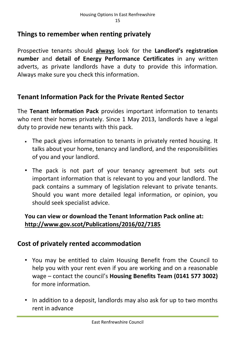#### **Things to remember when renting privately**

Prospective tenants should **always** look for the **Landlord's registration number** and **detail of Energy Performance Certificates** in any written adverts, as private landlords have a duty to provide this information. Always make sure you check this information.

#### **Tenant Information Pack for the Private Rented Sector**

The **Tenant Information Pack** provides important information to tenants who rent their homes privately. Since 1 May 2013, landlords have a legal duty to provide new tenants with this pack.

- The pack gives information to tenants in privately rented housing. It talks about your home, tenancy and landlord, and the responsibilities of you and your landlord.
- The pack is not part of your tenancy agreement but sets out important information that is relevant to you and your landlord. The pack contains a summary of legislation relevant to private tenants. Should you want more detailed legal information, or opinion, you should seek specialist advice.

#### **You can view or download the Tenant Information Pack online at: http://www.gov.scot/Publications/2016/02/7185**

### **Cost of privately rented accommodation**

- You may be entitled to claim Housing Benefit from the Council to help you with your rent even if you are working and on a reasonable wage – contact the council's **Housing Benefits Team (0141 577 3002)**  for more information.
- In addition to a deposit, landlords may also ask for up to two months rent in advance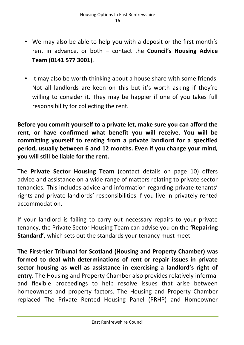- We may also be able to help you with a deposit or the first month's rent in advance, or both – contact the **Council's Housing Advice Team (0141 577 3001)**.
- It may also be worth thinking about a house share with some friends. Not all landlords are keen on this but it's worth asking if they're willing to consider it. They may be happier if one of you takes full responsibility for collecting the rent.

**Before you commit yourself to a private let, make sure you can afford the rent, or have confirmed what benefit you will receive. You will be committing yourself to renting from a private landlord for a specified period, usually between 6 and 12 months. Even if you change your mind, you will still be liable for the rent.**

The **Private Sector Housing Team** (contact details on page 10) offers advice and assistance on a wide range of matters relating to private sector tenancies. This includes advice and information regarding private tenants' rights and private landlords' responsibilities if you live in privately rented accommodation.

If your landlord is failing to carry out necessary repairs to your private tenancy, the Private Sector Housing Team can advise you on the **'Repairing Standard'**, which sets out the standards your tenancy must meet

**The First-tier Tribunal for Scotland (Housing and Property Chamber) was formed to deal with determinations of rent or repair issues in private sector housing as well as assistance in exercising a landlord's right of entry.** The Housing and Property Chamber also provides relatively informal and flexible proceedings to help resolve issues that arise between homeowners and property factors. The Housing and Property Chamber replaced The Private Rented Housing Panel (PRHP) and Homeowner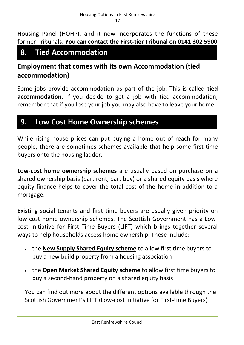Housing Panel (HOHP), and it now incorporates the functions of these former Tribunals. **You can contact the First-tier Tribunal on 0141 302 5900**

## **8. Tied Accommodation**

## **Employment that comes with its own Accommodation (tied accommodation)**

Some jobs provide accommodation as part of the job. This is called **tied accommodation**. If you decide to get a job with tied accommodation, remember that if you lose your job you may also have to leave your home.

## **9. Low Cost Home Ownership schemes**

While rising house prices can put buying a home out of reach for many people, there are sometimes schemes available that help some first-time buyers onto the housing ladder.

**Low-cost home ownership schemes** are usually based on purchase on a shared ownership basis (part rent, part buy) or a shared equity basis where equity finance helps to cover the total cost of the home in addition to a mortgage.

Existing social tenants and first time buyers are usually given priority on low-cost home ownership schemes. The Scottish Government has a Lowcost Initiative for First Time Buyers (LIFT) which brings together several ways to help households access home ownership. These include:

- **the [New Supply Shared Equity scheme](https://www.mygov.scot/new-supply-shared-equity-scheme/overview/)** to allow first time buyers to buy a new build property from a housing association
- the **[Open Market Shared Equity](https://beta.gov.scot/publications/open-market-shared-equity-scheme-omse-information-leaflet/) scheme** to allow first time buyers to buy a second-hand property on a shared equity basis

You can find out more about the different options available through the Scottish Government's LIFT (Low-cost Initiative for First-time Buyers)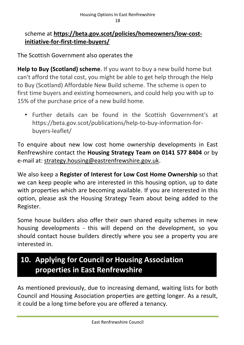#### scheme at **[https://beta.gov.scot/policies/homeowners/low-cost](https://beta.gov.scot/policies/homeowners/low-cost-initiative-for-first-time-buyers/)[initiative-for-first-time-buyers/](https://beta.gov.scot/policies/homeowners/low-cost-initiative-for-first-time-buyers/)**

The Scottish Government also operates the

**Help to Buy (Scotland) scheme**. If you want to buy a new build home but can't afford the total cost, you might be able to get help through the Help to Buy (Scotland) Affordable New Build scheme. The scheme is open to first time buyers and existing homeowners, and could help you with up to 15% of the purchase price of a new build home.

• Further details can be found in the Scottish Government's at https://beta.gov.scot/publications/help-to-buy-information-forbuyers-leaflet/

To enquire about new low cost home ownership developments in East Renfrewshire contact the **Housing Strategy Team on 0141 577 8404** or by e-mail at: [strategy.housing@eastrenfrewshire.gov.uk.](mailto:strategy.housing@eastrenfrewshire.gov.uk)

We also keep a **Register of Interest for Low Cost Home Ownership** so that we can keep people who are interested in this housing option, up to date with properties which are becoming available. If you are interested in this option, please ask the Housing Strategy Team about being added to the Register.

Some house builders also offer their own shared equity schemes in new housing developments - this will depend on the development, so you should contact house builders directly where you see a property you are interested in.

## **10. Applying for Council or Housing Association properties in East Renfrewshire**

As mentioned previously, due to increasing demand, waiting lists for both Council and Housing Association properties are getting longer. As a result, it could be a long time before you are offered a tenancy.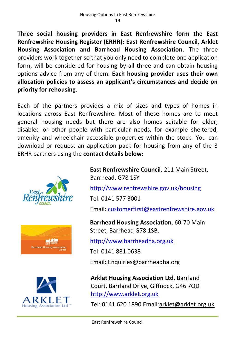**Three social housing providers in East Renfrewshire form the East Renfrewshire Housing Register (ERHR): East Renfrewshire Council, Arklet Housing Association and Barrhead Housing Association.** The three providers work together so that you only need to complete one application form, will be considered for housing by all three and can obtain housing options advice from any of them. **Each housing provider uses their own allocation policies to assess an applicant's circumstances and decide on priority for rehousing.**

Each of the partners provides a mix of sizes and types of homes in locations across East Renfrewshire. Most of these homes are to meet general housing needs but there are also homes suitable for older, disabled or other people with particular needs, for example sheltered, amenity and wheelchair accessible properties within the stock. You can download or request an application pack for housing from any of the 3 ERHR partners using the **contact details below:**







**East Renfrewshire Council**, 211 Main Street, Barrhead. G78 1SY

<http://www.renfrewshire.gov.uk/housing>

Tel: 0141 577 3001

Email: [customerfirst@eastrenfrewshire.gov.uk](mailto:customerfirst@eastrenfrewshire.gov.uk)

**Barrhead Housing Association**, 60-70 Main Street, Barrhead G78 1SB.

[http://www.barrheadha.org.uk](http://www.barrheadha.org.uk/)

Tel: 0141 881 0638

Email: [Enquiries@barrheadha.org](mailto:Enquiries@barrheadha.org)

**Arklet Housing Association Ltd**, Barrland Court, Barrland Drive, Giffnock, G46 7QD [http://www.arklet.org.uk](http://www.arklet.org.uk/)

Tel: 0141 620 1890 Email[:arklet@arklet.org.uk](mailto:arklet@arklet.org.uk)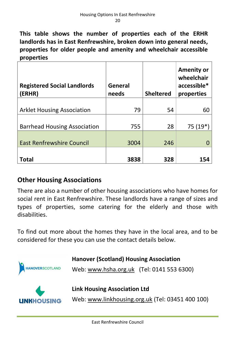**This table shows the number of properties each of the ERHR landlords has in East Renfrewshire, broken down into general needs, properties for older people and amenity and wheelchair accessible properties**

| <b>Registered Social Landlords</b><br>(ERHR) | <b>General</b><br>needs | <b>Sheltered</b> | <b>Amenity or</b><br>wheelchair<br>accessible*<br>properties |
|----------------------------------------------|-------------------------|------------------|--------------------------------------------------------------|
|                                              |                         |                  |                                                              |
| <b>Arklet Housing Association</b>            | 79                      | 54               | 60                                                           |
| <b>Barrhead Housing Association</b>          | 755                     | 28               | $75(19*)$                                                    |
| <b>East Renfrewshire Council</b>             | 3004                    | 246              |                                                              |
| <b>Total</b>                                 | 3838                    | 328              | 154                                                          |

#### **Other Housing Associations**

There are also a number of other housing associations who have homes for social rent in East Renfrewshire. These landlords have a range of sizes and types of properties, some catering for the elderly and those with disabilities.

To find out more about the homes they have in the local area, and to be considered for these you can use the contact details below.

| <b>HANOVERSCOTLAND</b> | <b>Hanover (Scotland) Housing Association</b><br>Web: www.hsha.org.uk (Tel: 0141 553 6300) |  |
|------------------------|--------------------------------------------------------------------------------------------|--|
| <b>LINKHOUSING</b>     | <b>Link Housing Association Ltd</b><br>Web: www.linkhousing.org.uk (Tel: 03451 400 100)    |  |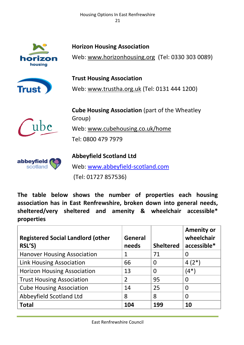Housing Options In East Renfrewshire 21



**Horizon Housing Association**

Web: [www.horizonhousing.org](http://www.horizonhousing.org/) (Tel: 0330 303 0089)



**Trust Housing Association** Web: [www.trustha.org.uk](http://www.trustha.org.uk/) (Tel: 0131 444 1200)



**Cube Housing Association** (part of the Wheatley Group)

Web: [www.cubehousing.co.uk/home](http://www.cubehousing.co.uk/home)

Tel: 0800 479 7979



### **Abbeyfield Scotland Ltd**

Web: [www.abbeyfield-scotland.com](http://www.abbeyfield-scotland.com/)

(Tel: 01727 857536)

**The table below shows the number of properties each housing association has in East Renfrewshire, broken down into general needs, sheltered/very sheltered and amenity & wheelchair accessible\* properties**

| <b>Registered Social Landlord (other</b><br>RSL'S) | General<br>needs | <b>Sheltered</b> | <b>Amenity or</b><br>wheelchair<br>accessible* |
|----------------------------------------------------|------------------|------------------|------------------------------------------------|
| <b>Hanover Housing Association</b>                 |                  | 71               |                                                |
| <b>Link Housing Association</b>                    | 66               | $\Omega$         | $4(2^*)$                                       |
| <b>Horizon Housing Association</b>                 | 13               | 0                | (4*)                                           |
| <b>Trust Housing Association</b>                   | $\overline{2}$   | 95               |                                                |
| <b>Cube Housing Association</b>                    | 14               | 25               | 0                                              |
| Abbeyfield Scotland Ltd                            | 8                | 8                | 0                                              |
| <b>Total</b>                                       | 104              | 199              | 10                                             |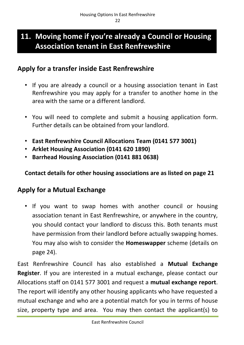## **11. Moving home if you're already a Council or Housing Association tenant in East Renfrewshire**

#### **Apply for a transfer inside East Renfrewshire**

- If you are already a council or a housing association tenant in East Renfrewshire you may apply for a transfer to another home in the area with the same or a different landlord.
- You will need to complete and submit a housing application form. Further details can be obtained from your landlord.
- **East Renfrewshire Council Allocations Team (0141 577 3001)**
- **Arklet Housing Association (0141 620 1890)**
- **Barrhead Housing Association (0141 881 0638)**

**Contact details for other housing associations are as listed on page 21**

#### **Apply for a Mutual Exchange**

• If you want to swap homes with another council or housing association tenant in East Renfrewshire, or anywhere in the country, you should contact your landlord to discuss this. Both tenants must have permission from their landlord before actually swapping homes. You may also wish to consider the **Homeswapper** scheme (details on page 24).

East Renfrewshire Council has also established a **Mutual Exchange Register**. If you are interested in a mutual exchange, please contact our Allocations staff on 0141 577 3001 and request a **mutual exchange report**. The report will identify any other housing applicants who have requested a mutual exchange and who are a potential match for you in terms of house size, property type and area. You may then contact the applicant(s) to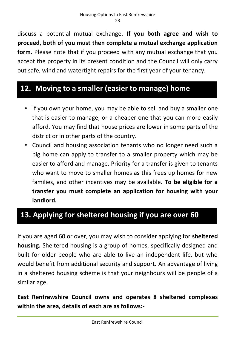discuss a potential mutual exchange. **If you both agree and wish to proceed, both of you must then complete a mutual exchange application form.** Please note that if you proceed with any mutual exchange that you accept the property in its present condition and the Council will only carry out safe, wind and watertight repairs for the first year of your tenancy.

## **12. Moving to a smaller (easier to manage) home**

- If you own your home, you may be able to sell and buy a smaller one that is easier to manage, or a cheaper one that you can more easily afford. You may find that house prices are lower in some parts of the district or in other parts of the country.
- Council and housing association tenants who no longer need such a big home can apply to transfer to a smaller property which may be easier to afford and manage. Priority for a transfer is given to tenants who want to move to smaller homes as this frees up homes for new families, and other incentives may be available. **To be eligible for a transfer you must complete an application for housing with your landlord.**

## **13. Applying for sheltered housing if you are over 60**

If you are aged 60 or over, you may wish to consider applying for **sheltered housing.** Sheltered housing is a group of homes, specifically designed and built for older people who are able to live an independent life, but who would benefit from additional security and support. An advantage of living in a sheltered housing scheme is that your neighbours will be people of a similar age.

**East Renfrewshire Council owns and operates 8 sheltered complexes within the area, details of each are as follows:-**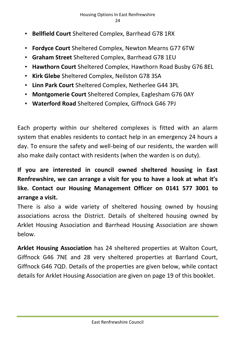- **Bellfield Court** Sheltered Complex, Barrhead G78 1RX
- **Fordyce Court** Sheltered Complex, Newton Mearns G77 6TW
- **Graham Street** Sheltered Complex, Barrhead G78 1EU
- **Hawthorn Court** Sheltered Complex, Hawthorn Road Busby G76 8EL
- **Kirk Glebe** Sheltered Complex, Neilston G78 3SA
- **Linn Park Court** Sheltered Complex, Netherlee G44 3PL
- **Montgomerie Court** Sheltered Complex, Eaglesham G76 0AY
- **Waterford Road** Sheltered Complex, Giffnock G46 7PJ

Each property within our sheltered complexes is fitted with an alarm system that enables residents to contact help in an emergency 24 hours a day. To ensure the safety and well-being of our residents, the warden will also make daily contact with residents (when the warden is on duty).

**If you are interested in council owned sheltered housing in East Renfrewshire, we can arrange a visit for you to have a look at what it's like. Contact our Housing Management Officer on 0141 577 3001 to arrange a visit.** 

There is also a wide variety of sheltered housing owned by housing associations across the District. Details of sheltered housing owned by Arklet Housing Association and Barrhead Housing Association are shown below.

**Arklet Housing Association** has 24 sheltered properties at Walton Court, Giffnock G46 7NE and 28 very sheltered properties at Barrland Court, Giffnock G46 7QD. Details of the properties are given below, while contact details for Arklet Housing Association are given on page 19 of this booklet.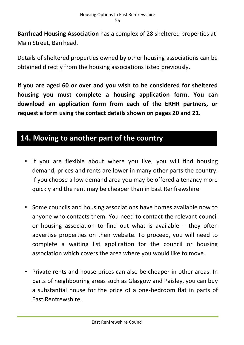**Barrhead Housing Association** has a complex of 28 sheltered properties at Main Street, Barrhead.

Details of sheltered properties owned by other housing associations can be obtained directly from the housing associations listed previously.

**If you are aged 60 or over and you wish to be considered for sheltered housing you must complete a housing application form. You can download an application form from each of the ERHR partners, or request a form using the contact details shown on pages 20 and 21.**

## **14. Moving to another part of the country**

- If you are flexible about where you live, you will find housing demand, prices and rents are lower in many other parts the country. If you choose a low demand area you may be offered a tenancy more quickly and the rent may be cheaper than in East Renfrewshire.
- Some councils and housing associations have homes available now to anyone who contacts them. You need to contact the relevant council or housing association to find out what is available – they often advertise properties on their website. To proceed, you will need to complete a waiting list application for the council or housing association which covers the area where you would like to move.
- Private rents and house prices can also be cheaper in other areas. In parts of neighbouring areas such as Glasgow and Paisley, you can buy a substantial house for the price of a one-bedroom flat in parts of East Renfrewshire.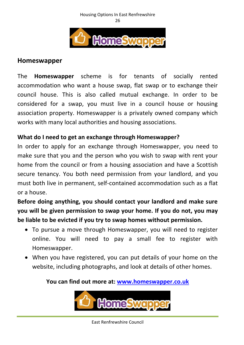#### Housing Options In East Renfrewshire 26



#### **Homeswapper**

The **Homeswapper** scheme is for tenants of socially rented accommodation who want a house swap, flat swap or to exchange their council house. This is also called mutual exchange. In order to be considered for a swap, you must live in a council house or housing association property. Homeswapper is a privately owned company which works with many local authorities and housing associations.

#### **What do I need to get an exchange through Homeswapper?**

In order to apply for an exchange through Homeswapper, you need to make sure that you and the person who you wish to swap with rent your home from the council or from a housing association and have a Scottish secure tenancy. You both need permission from your landlord, and you must both live in permanent, self-contained accommodation such as a flat or a house.

**Before doing anything, you should contact your landlord and make sure you will be given permission to swap your home. If you do not, you may be liable to be evicted if you try to swap homes without permission.**

- To pursue a move through Homeswapper, you will need to register online. You will need to pay a small fee to register with Homeswapper.
- When you have registered, you can put details of your home on the website, including photographs, and look at details of other homes.

#### **You can find out more at: [www.homeswapper.co.uk](http://www.homeswapper.co.uk/)**

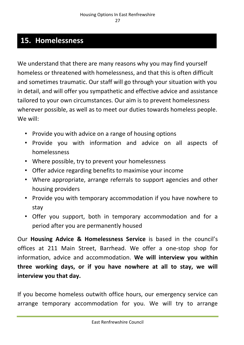## **15. Homelessness**

We understand that there are many reasons why you may find yourself homeless or threatened with homelessness, and that this is often difficult and sometimes traumatic. Our staff will go through your situation with you in detail, and will offer you sympathetic and effective advice and assistance tailored to your own circumstances. Our aim is to prevent homelessness wherever possible, as well as to meet our duties towards homeless people. We will:

- Provide you with advice on a range of housing options
- Provide you with information and advice on all aspects of homelessness
- Where possible, try to prevent your homelessness
- Offer advice regarding benefits to maximise your income
- Where appropriate, arrange referrals to support agencies and other housing providers
- Provide you with temporary accommodation if you have nowhere to stay
- Offer you support, both in temporary accommodation and for a period after you are permanently housed

Our **Housing Advice & Homelessness Service** is based in the council's offices at 211 Main Street, Barrhead. We offer a one-stop shop for information, advice and accommodation. **We will interview you within three working days, or if you have nowhere at all to stay, we will interview you that day.**

If you become homeless outwith office hours, our emergency service can arrange temporary accommodation for you. We will try to arrange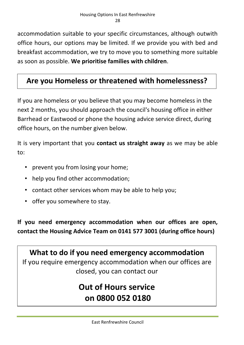accommodation suitable to your specific circumstances, although outwith office hours, our options may be limited. If we provide you with bed and breakfast accommodation, we try to move you to something more suitable as soon as possible. **We prioritise families with children**.

## **Are you Homeless or threatened with homelessness?**

If you are homeless or you believe that you may become homeless in the next 2 months, you should approach the council's housing office in either Barrhead or Eastwood or phone the housing advice service direct, during office hours, on the number given below.

It is very important that you **contact us straight away** as we may be able to:

- prevent you from losing your home;
- help you find other accommodation;
- contact other services whom may be able to help you;
- offer you somewhere to stay.

**If you need emergency accommodation when our offices are open, contact the Housing Advice Team on 0141 577 3001 (during office hours)**

**What to do if you need emergency accommodation** If you require emergency accommodation when our offices are closed, you can contact our

## **Out of Hours service on 0800 052 0180**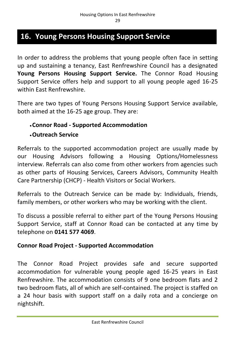## **16. Young Persons Housing Support Service**

In order to address the problems that young people often face in setting up and sustaining a tenancy, East Renfrewshire Council has a designated **Young Persons Housing Support Service.** The Connor Road Housing Support Service offers help and support to all young people aged 16-25 within East Renfrewshire.

There are two types of Young Persons Housing Support Service available, both aimed at the 16-25 age group. They are:

#### **Connor Road - Supported Accommodation**

#### **Outreach Service**

Referrals to the supported accommodation project are usually made by our Housing Advisors following a Housing Options/Homelessness interview. Referrals can also come from other workers from agencies such as other parts of Housing Services, Careers Advisors, Community Health Care Partnership (CHCP) - Health Visitors or Social Workers.

Referrals to the Outreach Service can be made by: Individuals, friends, family members, or other workers who may be working with the client.

To discuss a possible referral to either part of the Young Persons Housing Support Service, staff at Connor Road can be contacted at any time by telephone on **0141 577 4069**.

#### **Connor Road Project - Supported Accommodation**

The Connor Road Project provides safe and secure supported accommodation for vulnerable young people aged 16-25 years in East Renfrewshire. The accommodation consists of 9 one bedroom flats and 2 two bedroom flats, all of which are self-contained. The project is staffed on a 24 hour basis with support staff on a daily rota and a concierge on nightshift.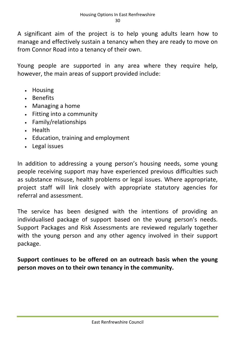A significant aim of the project is to help young adults learn how to manage and effectively sustain a tenancy when they are ready to move on from Connor Road into a tenancy of their own.

Young people are supported in any area where they require help, however, the main areas of support provided include:

- Housing
- Benefits
- Managing a home
- Fitting into a community
- Family/relationships
- Health
- Education, training and employment
- Legal issues

In addition to addressing a young person's housing needs, some young people receiving support may have experienced previous difficulties such as substance misuse, health problems or legal issues. Where appropriate, project staff will link closely with appropriate statutory agencies for referral and assessment.

The service has been designed with the intentions of providing an individualised package of support based on the young person's needs. Support Packages and Risk Assessments are reviewed regularly together with the young person and any other agency involved in their support package.

**Support continues to be offered on an outreach basis when the young person moves on to their own tenancy in the community.**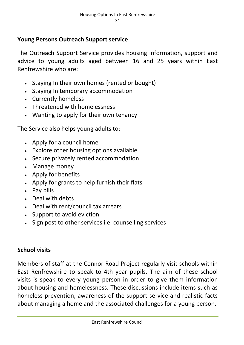#### **Young Persons Outreach Support service**

The Outreach Support Service provides housing information, support and advice to young adults aged between 16 and 25 years within East Renfrewshire who are:

- Staying In their own homes (rented or bought)
- Staying In temporary accommodation
- Currently homeless
- Threatened with homelessness
- Wanting to apply for their own tenancy

The Service also helps young adults to:

- Apply for a council home
- Explore other housing options available
- Secure privately rented accommodation
- Manage money
- Apply for benefits
- Apply for grants to help furnish their flats
- Pay bills
- Deal with debts
- Deal with rent/council tax arrears
- Support to avoid eviction
- Sign post to other services *i.e.* counselling services

#### **School visits**

Members of staff at the Connor Road Project regularly visit schools within East Renfrewshire to speak to 4th year pupils. The aim of these school visits is speak to every young person in order to give them information about housing and homelessness. These discussions include items such as homeless prevention, awareness of the support service and realistic facts about managing a home and the associated challenges for a young person.